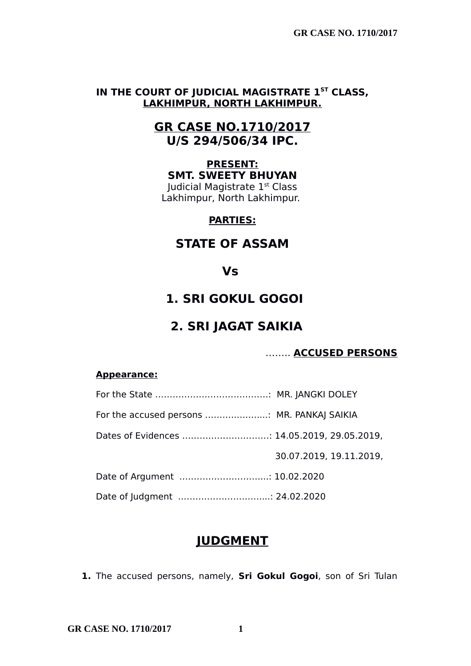## **IN THE COURT OF JUDICIAL MAGISTRATE 1ST CLASS, LAKHIMPUR, NORTH LAKHIMPUR.**

# **GR CASE NO.1710/2017 U/S 294/506/34 IPC.**

#### **PRESENT: SMT. SWEETY BHUYAN**

Judicial Magistrate 1st Class Lakhimpur, North Lakhimpur.

## **PARTIES:**

# **STATE OF ASSAM**

## **Vs**

# **1. SRI GOKUL GOGOI**

# **2. SRI JAGAT SAIKIA**

## …….. **ACCUSED PERSONS**

#### **Appearance:**

| For the accused persons  MR. PANKAJ SAIKIA  |                         |
|---------------------------------------------|-------------------------|
| Dates of Evidences  14.05.2019, 29.05.2019, |                         |
|                                             | 30.07.2019, 19.11.2019, |
| Date of Argument  10.02.2020                |                         |
| Date of Judgment  24.02.2020                |                         |

# **JUDGMENT**

**1.** The accused persons, namely, **Sri Gokul Gogoi**, son of Sri Tulan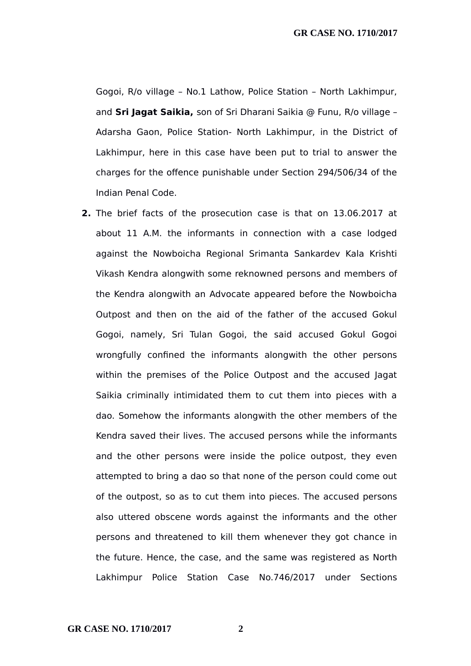Gogoi, R/o village – No.1 Lathow, Police Station – North Lakhimpur, and **Sri Jagat Saikia,** son of Sri Dharani Saikia @ Funu, R/o village – Adarsha Gaon, Police Station- North Lakhimpur, in the District of Lakhimpur, here in this case have been put to trial to answer the charges for the offence punishable under Section 294/506/34 of the Indian Penal Code.

**2.** The brief facts of the prosecution case is that on 13.06.2017 at about 11 A.M. the informants in connection with a case lodged against the Nowboicha Regional Srimanta Sankardev Kala Krishti Vikash Kendra alongwith some reknowned persons and members of the Kendra alongwith an Advocate appeared before the Nowboicha Outpost and then on the aid of the father of the accused Gokul Gogoi, namely, Sri Tulan Gogoi, the said accused Gokul Gogoi wrongfully confined the informants alongwith the other persons within the premises of the Police Outpost and the accused Jagat Saikia criminally intimidated them to cut them into pieces with a dao. Somehow the informants alongwith the other members of the Kendra saved their lives. The accused persons while the informants and the other persons were inside the police outpost, they even attempted to bring a dao so that none of the person could come out of the outpost, so as to cut them into pieces. The accused persons also uttered obscene words against the informants and the other persons and threatened to kill them whenever they got chance in the future. Hence, the case, and the same was registered as North Lakhimpur Police Station Case No.746/2017 under Sections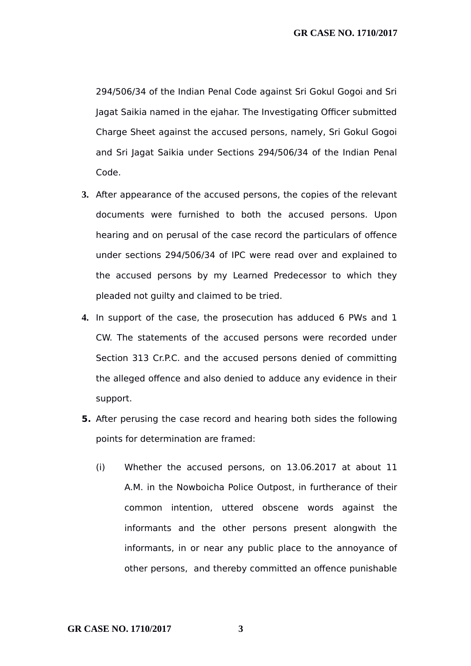294/506/34 of the Indian Penal Code against Sri Gokul Gogoi and Sri Jagat Saikia named in the ejahar. The Investigating Officer submitted Charge Sheet against the accused persons, namely, Sri Gokul Gogoi and Sri Jagat Saikia under Sections 294/506/34 of the Indian Penal Code.

- **3.** After appearance of the accused persons, the copies of the relevant documents were furnished to both the accused persons. Upon hearing and on perusal of the case record the particulars of offence under sections 294/506/34 of IPC were read over and explained to the accused persons by my Learned Predecessor to which they pleaded not guilty and claimed to be tried.
- **4.** In support of the case, the prosecution has adduced 6 PWs and 1 CW. The statements of the accused persons were recorded under Section 313 Cr.P.C. and the accused persons denied of committing the alleged offence and also denied to adduce any evidence in their support.
- **5.** After perusing the case record and hearing both sides the following points for determination are framed:
	- (i) Whether the accused persons, on 13.06.2017 at about 11 A.M. in the Nowboicha Police Outpost, in furtherance of their common intention, uttered obscene words against the informants and the other persons present alongwith the informants, in or near any public place to the annoyance of other persons, and thereby committed an offence punishable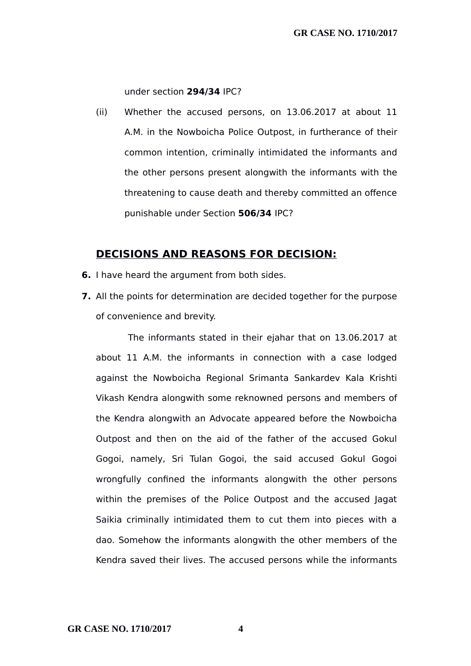under section **294/34** IPC?

(ii) Whether the accused persons, on 13.06.2017 at about 11 A.M. in the Nowboicha Police Outpost, in furtherance of their common intention, criminally intimidated the informants and the other persons present alongwith the informants with the threatening to cause death and thereby committed an offence punishable under Section **506/34** IPC?

#### **DECISIONS AND REASONS FOR DECISION:**

- **6.** I have heard the argument from both sides.
- **7.** All the points for determination are decided together for the purpose of convenience and brevity.

The informants stated in their ejahar that on 13.06.2017 at about 11 A.M. the informants in connection with a case lodged against the Nowboicha Regional Srimanta Sankardev Kala Krishti Vikash Kendra alongwith some reknowned persons and members of the Kendra alongwith an Advocate appeared before the Nowboicha Outpost and then on the aid of the father of the accused Gokul Gogoi, namely, Sri Tulan Gogoi, the said accused Gokul Gogoi wrongfully confined the informants alongwith the other persons within the premises of the Police Outpost and the accused Jagat Saikia criminally intimidated them to cut them into pieces with a dao. Somehow the informants alongwith the other members of the Kendra saved their lives. The accused persons while the informants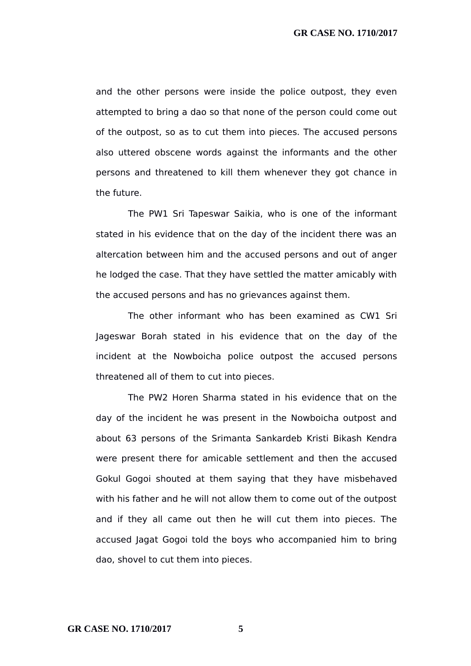and the other persons were inside the police outpost, they even attempted to bring a dao so that none of the person could come out of the outpost, so as to cut them into pieces. The accused persons also uttered obscene words against the informants and the other persons and threatened to kill them whenever they got chance in the future.

The PW1 Sri Tapeswar Saikia, who is one of the informant stated in his evidence that on the day of the incident there was an altercation between him and the accused persons and out of anger he lodged the case. That they have settled the matter amicably with the accused persons and has no grievances against them.

The other informant who has been examined as CW1 Sri Jageswar Borah stated in his evidence that on the day of the incident at the Nowboicha police outpost the accused persons threatened all of them to cut into pieces.

The PW2 Horen Sharma stated in his evidence that on the day of the incident he was present in the Nowboicha outpost and about 63 persons of the Srimanta Sankardeb Kristi Bikash Kendra were present there for amicable settlement and then the accused Gokul Gogoi shouted at them saying that they have misbehaved with his father and he will not allow them to come out of the outpost and if they all came out then he will cut them into pieces. The accused Jagat Gogoi told the boys who accompanied him to bring dao, shovel to cut them into pieces.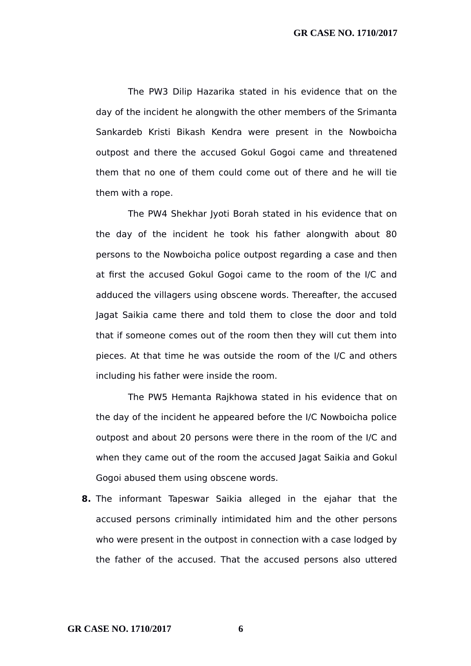The PW3 Dilip Hazarika stated in his evidence that on the day of the incident he alongwith the other members of the Srimanta Sankardeb Kristi Bikash Kendra were present in the Nowboicha outpost and there the accused Gokul Gogoi came and threatened them that no one of them could come out of there and he will tie them with a rope.

The PW4 Shekhar Jyoti Borah stated in his evidence that on the day of the incident he took his father alongwith about 80 persons to the Nowboicha police outpost regarding a case and then at first the accused Gokul Gogoi came to the room of the I/C and adduced the villagers using obscene words. Thereafter, the accused Jagat Saikia came there and told them to close the door and told that if someone comes out of the room then they will cut them into pieces. At that time he was outside the room of the I/C and others including his father were inside the room.

The PW5 Hemanta Rajkhowa stated in his evidence that on the day of the incident he appeared before the I/C Nowboicha police outpost and about 20 persons were there in the room of the I/C and when they came out of the room the accused Jagat Saikia and Gokul Gogoi abused them using obscene words.

**8.** The informant Tapeswar Saikia alleged in the ejahar that the accused persons criminally intimidated him and the other persons who were present in the outpost in connection with a case lodged by the father of the accused. That the accused persons also uttered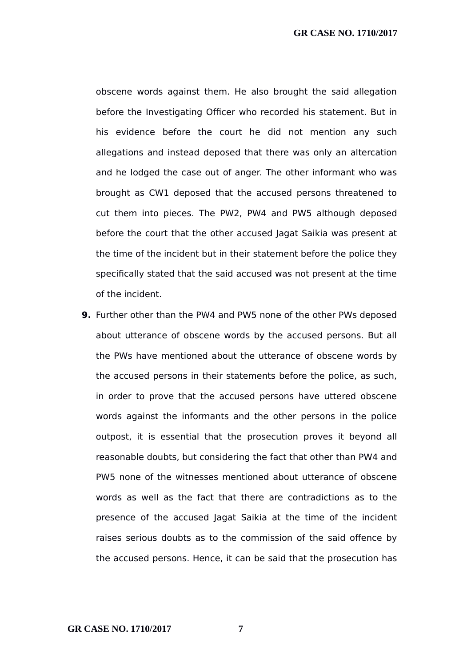obscene words against them. He also brought the said allegation before the Investigating Officer who recorded his statement. But in his evidence before the court he did not mention any such allegations and instead deposed that there was only an altercation and he lodged the case out of anger. The other informant who was brought as CW1 deposed that the accused persons threatened to cut them into pieces. The PW2, PW4 and PW5 although deposed before the court that the other accused Jagat Saikia was present at the time of the incident but in their statement before the police they specifically stated that the said accused was not present at the time of the incident.

**9.** Further other than the PW4 and PW5 none of the other PWs deposed about utterance of obscene words by the accused persons. But all the PWs have mentioned about the utterance of obscene words by the accused persons in their statements before the police, as such, in order to prove that the accused persons have uttered obscene words against the informants and the other persons in the police outpost, it is essential that the prosecution proves it beyond all reasonable doubts, but considering the fact that other than PW4 and PW5 none of the witnesses mentioned about utterance of obscene words as well as the fact that there are contradictions as to the presence of the accused Jagat Saikia at the time of the incident raises serious doubts as to the commission of the said offence by the accused persons. Hence, it can be said that the prosecution has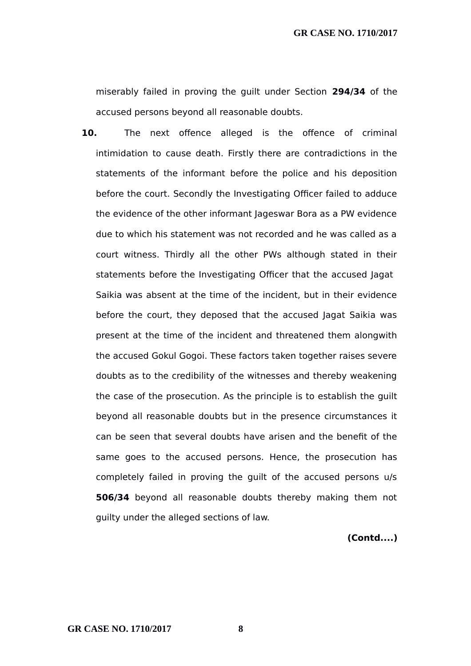miserably failed in proving the guilt under Section **294/34** of the accused persons beyond all reasonable doubts.

**10.** The next offence alleged is the offence of criminal intimidation to cause death. Firstly there are contradictions in the statements of the informant before the police and his deposition before the court. Secondly the Investigating Officer failed to adduce the evidence of the other informant Jageswar Bora as a PW evidence due to which his statement was not recorded and he was called as a court witness. Thirdly all the other PWs although stated in their statements before the Investigating Officer that the accused Jagat Saikia was absent at the time of the incident, but in their evidence before the court, they deposed that the accused Jagat Saikia was present at the time of the incident and threatened them alongwith the accused Gokul Gogoi. These factors taken together raises severe doubts as to the credibility of the witnesses and thereby weakening the case of the prosecution. As the principle is to establish the guilt beyond all reasonable doubts but in the presence circumstances it can be seen that several doubts have arisen and the benefit of the same goes to the accused persons. Hence, the prosecution has completely failed in proving the guilt of the accused persons u/s **506/34** beyond all reasonable doubts thereby making them not guilty under the alleged sections of law.

#### **(Contd....)**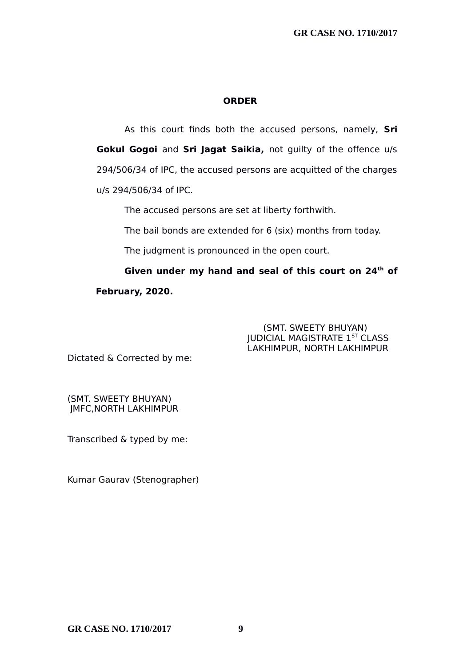#### **ORDER**

As this court finds both the accused persons, namely, **Sri Gokul Gogoi** and **Sri Jagat Saikia,** not guilty of the offence u/s 294/506/34 of IPC, the accused persons are acquitted of the charges u/s 294/506/34 of IPC.

The accused persons are set at liberty forthwith.

The bail bonds are extended for 6 (six) months from today.

The judgment is pronounced in the open court.

**Given under my hand and seal of this court on 24th of February, 2020.**

#### (SMT. SWEETY BHUYAN) JUDICIAL MAGISTRATE 1ST CLASS LAKHIMPUR, NORTH LAKHIMPUR

Dictated & Corrected by me:

(SMT. SWEETY BHUYAN) JMFC,NORTH LAKHIMPUR

Transcribed & typed by me:

Kumar Gaurav (Stenographer)